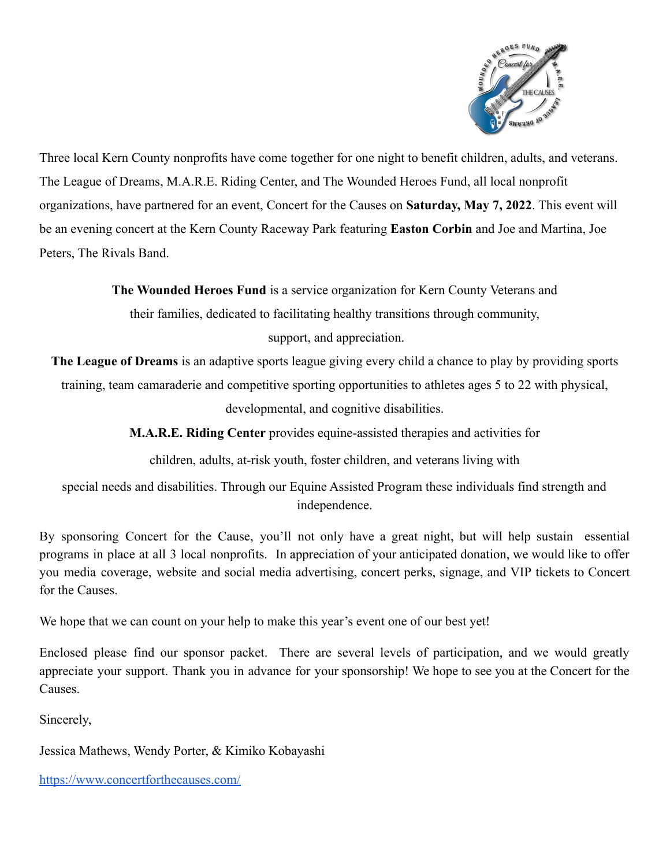

Three local Kern County nonprofits have come together for one night to benefit children, adults, and veterans. The League of Dreams, M.A.R.E. Riding Center, and The Wounded Heroes Fund, all local nonprofit organizations, have partnered for an event, Concert for the Causes on **Saturday, May 7, 2022**. This event will be an evening concert at the Kern County Raceway Park featuring **Easton Corbin** and Joe and Martina, Joe Peters, The Rivals Band.

**The Wounded Heroes Fund** is a service organization for Kern County Veterans and

their families, dedicated to facilitating healthy transitions through community, support, and appreciation.

**The League of Dreams** is an adaptive sports league giving every child a chance to play by providing sports

training, team camaraderie and competitive sporting opportunities to athletes ages 5 to 22 with physical,

developmental, and cognitive disabilities.

**M.A.R.E. Riding Center** provides equine-assisted therapies and activities for

children, adults, at-risk youth, foster children, and veterans living with

special needs and disabilities. Through our Equine Assisted Program these individuals find strength and independence.

By sponsoring Concert for the Cause, you'll not only have a great night, but will help sustain essential programs in place at all 3 local nonprofits. In appreciation of your anticipated donation, we would like to offer you media coverage, website and social media advertising, concert perks, signage, and VIP tickets to Concert for the Causes.

We hope that we can count on your help to make this year's event one of our best yet!

Enclosed please find our sponsor packet. There are several levels of participation, and we would greatly appreciate your support. Thank you in advance for your sponsorship! We hope to see you at the Concert for the **Causes** 

Sincerely,

Jessica Mathews, Wendy Porter, & Kimiko Kobayashi

<https://www.concertforthecauses.com/>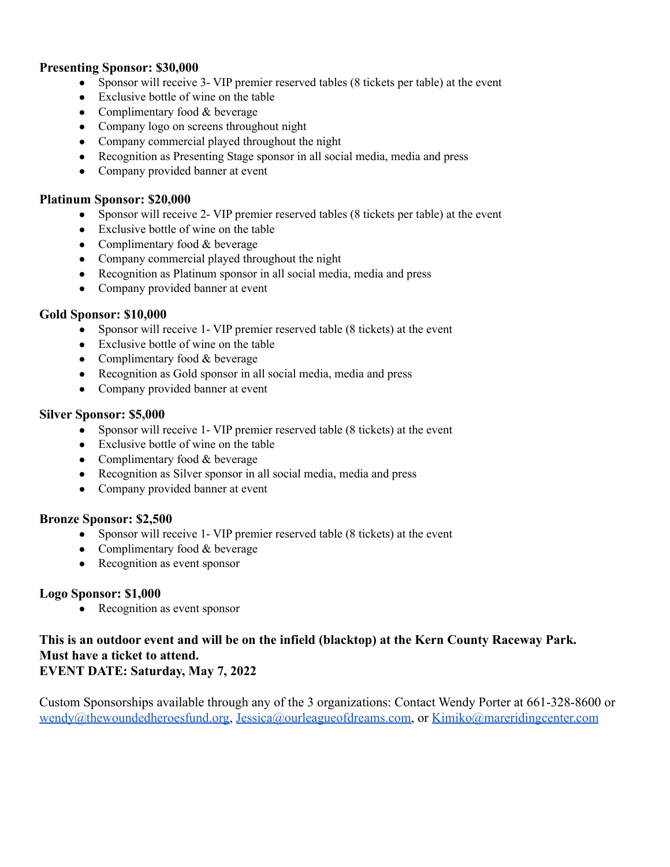## **Presenting Sponsor: \$30,000**

- Sponsor will receive 3- VIP premier reserved tables (8 tickets per table) at the event
- Exclusive bottle of wine on the table
- Complimentary food  $&$  beverage
- Company logo on screens throughout night
- Company commercial played throughout the night
- Recognition as Presenting Stage sponsor in all social media, media and press
- Company provided banner at event

#### **Platinum Sponsor: \$20,000**

- Sponsor will receive 2- VIP premier reserved tables (8 tickets per table) at the event
- Exclusive bottle of wine on the table
- Complimentary food  $&$  beverage
- Company commercial played throughout the night
- Recognition as Platinum sponsor in all social media, media and press
- Company provided banner at event

## **Gold Sponsor: \$10,000**

- Sponsor will receive 1- VIP premier reserved table (8 tickets) at the event
- Exclusive bottle of wine on the table
- Complimentary food  $&$  beverage
- Recognition as Gold sponsor in all social media, media and press
- Company provided banner at event

#### **Silver Sponsor: \$5,000**

- Sponsor will receive 1- VIP premier reserved table (8 tickets) at the event
- Exclusive bottle of wine on the table
- Complimentary food  $&$  beverage
- Recognition as Silver sponsor in all social media, media and press
- Company provided banner at event

# **Bronze Sponsor: \$2,500**

- Sponsor will receive 1- VIP premier reserved table (8 tickets) at the event
- Complimentary food  $&$  beverage
- Recognition as event sponsor

# **Logo Sponsor: \$1,000**

• Recognition as event sponsor

## **This is an outdoor event and will be on the infield (blacktop) at the Kern County Raceway Park. Must have a ticket to attend. EVENT DATE: Saturday, May 7, 2022**

Custom Sponsorships available through any of the 3 organizations: Contact Wendy Porter at 661-328-8600 or [wendy@thewoundedheroesfund.org,](mailto:wendy@thewoundedheroesfund.org) [Jessica@ourleagueofdreams.com,](mailto:Jessica@ourleagueofdreams.com) or [Kimiko@mareridingcenter.com](mailto:Kimiko@mareridingcenter.com)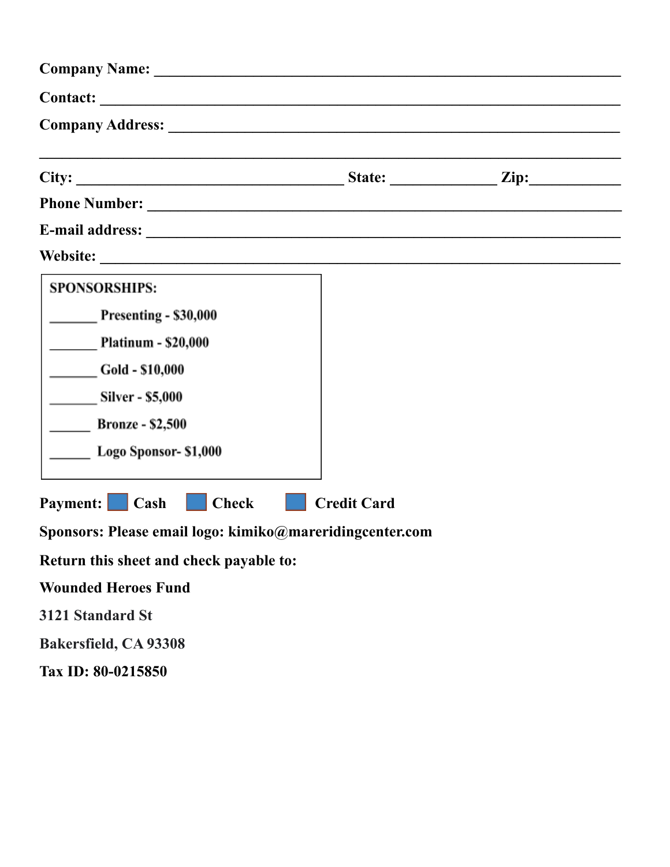| <b>SPONSORSHIPS:</b><br>Presenting - \$30,000<br><b>Platinum - \$20,000</b><br>Gold - \$10,000<br><b>Silver - \$5,000</b><br><b>Bronze - \$2,500</b><br>Logo Sponsor- \$1,000 |                    |  |
|-------------------------------------------------------------------------------------------------------------------------------------------------------------------------------|--------------------|--|
| <b>Payment:</b> Cash<br><b>Check</b>                                                                                                                                          | <b>Credit Card</b> |  |
| Sponsors: Please email logo: kimiko@mareridingcenter.com                                                                                                                      |                    |  |
| Return this sheet and check payable to:                                                                                                                                       |                    |  |
| <b>Wounded Heroes Fund</b>                                                                                                                                                    |                    |  |
| 3121 Standard St                                                                                                                                                              |                    |  |
| <b>Bakersfield, CA 93308</b>                                                                                                                                                  |                    |  |

**Tax ID: 80-0215850**